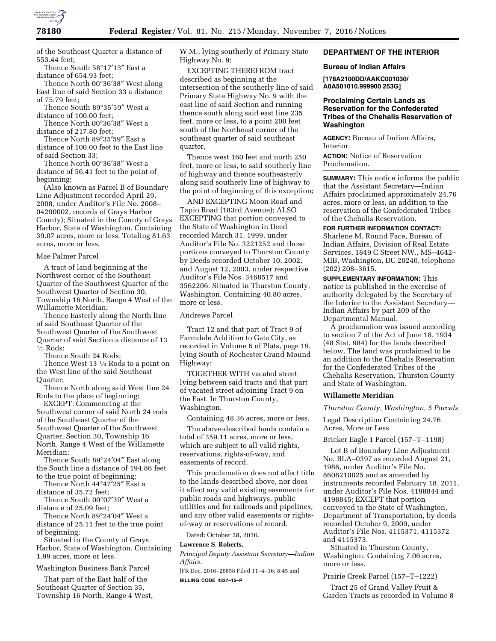

of the Southeast Quarter a distance of 553.44 feet;

Thence South 58°17′13″ East a distance of 654.93 feet;

Thence North 00°36′38″ West along East line of said Section 33 a distance of 75.79 feet;

Thence South 89°35′59″ West a distance of 100.00 feet;

Thence North 00°36′38″ West a distance of 217.80 feet;

Thence North 89°35′59″ East a distance of 100.00 feet to the East line of said Section 33;

Thence North 00°36′38″ West a distance of 56.41 feet to the point of beginning;

(Also known as Parcel B of Boundary Line Adjustment recorded April 29, 2008, under Auditor's File No. 2008– 04290002, records of Grays Harbor County); Situated in the County of Grays Harbor, State of Washington. Containing 39.07 acres, more or less. Totaling 81.63 acres, more or less.

#### Mae Palmer Parcel

A tract of land beginning at the Northwest corner of the Southeast Quarter of the Southwest Quarter of the Southwest Quarter of Section 30, Township 16 North, Range 4 West of the Willamette Meridian;

Thence Easterly along the North line of said Southeast Quarter of the Southwest Quarter of the Southwest Quarter of said Section a distance of 13  $\frac{1}{3}$  Rods;

Thence South 24 Rods;

Thence West 13 <sup>1</sup>/<sub>3</sub> Rods to a point on the West line of the said Southeast Quarter;

Thence North along said West line 24 Rods to the place of beginning;

EXCEPT: Commencing at the Southwest corner of said North 24 rods of the Southeast Quarter of the Southwest Quarter of the Southwest Quarter, Section 30, Township 16 North, Range 4 West of the Willamette Meridian;

Thence South 89°24′04″ East along the South line a distance of 194.86 feet to the true point of beginning;

Thence North 44°47′25″ East a distance of 35.72 feet;

Thence South 00°07′39″ West a distance of 25.09 feet;

Thence North 89°24′04″ West a distance of 25.11 feet to the true point of beginning;

Situated in the County of Grays Harbor, State of Washington. Containing 1.99 acres, more or less.

Washington Business Bank Parcel

That part of the East half of the Southeast Quarter of Section 35, Township 16 North, Range 4 West, W.M., lying southerly of Primary State Highway No. 9;

EXCEPTING THEREFROM tract described as beginning at the intersection of the southerly line of said Primary State Highway No. 9 with the east line of said Section and running thence south along said east line 235 feet, more or less, to a point 200 feet south of the Northeast corner of the southeast quarter of said southeast quarter,

Thence west 160 feet and north 250 feet, more or less, to said southerly line of highway and thence southeasterly along said southerly line of highway to the point of beginning of this exception;

AND EXCEPTING Moon Road and Tapio Road (183rd Avenue); ALSO EXCEPTING that portion conveyed to the State of Washington in Deed recorded March 31, 1999, under Auditor's File No. 3221252 and those portions conveyed to Thurston County by Deeds recorded October 10, 2002, and August 12, 2003, under respective Auditor's File Nos. 3468517 and 3562206. Situated in Thurston County, Washington. Containing 40.80 acres, more or less.

Andrews Parcel

Tract 12 and that part of Tract 9 of Farmdale Addition to Gate City, as recorded in Volume 6 of Plats, page 19, lying South of Rochester Grand Mound Highway;

TOGETHER WITH vacated street lying between said tracts and that part of vacated street adjoining Tract 9 on the East. In Thurston County, Washington.

Containing 48.36 acres, more or less.

The above-described lands contain a total of 359.11 acres, more or less, which are subject to all valid rights, reservations, rights-of-way, and easements of record.

This proclamation does not affect title to the lands described above, nor does it affect any valid existing easements for public roads and highways, public utilities and for railroads and pipelines, and any other valid easements or rightsof-way or reservations of record.

Dated: October 28, 2016.

# **Lawrence S. Roberts,**

*Principal Deputy Assistant Secretary—Indian Affairs.* 

[FR Doc. 2016–26858 Filed 11–4–16; 8:45 am] **BILLING CODE 4337–15–P** 

## **DEPARTMENT OF THE INTERIOR**

### **Bureau of Indian Affairs**

**[178A2100DD/AAKC001030/ A0A501010.999900 253G]** 

### **Proclaiming Certain Lands as Reservation for the Confederated Tribes of the Chehalis Reservation of Washington**

**AGENCY:** Bureau of Indian Affairs, Interior.

**ACTION:** Notice of Reservation Proclamation.

**SUMMARY:** This notice informs the public that the Assistant Secretary—Indian Affairs proclaimed approximately 24.76 acres, more or less, an addition to the reservation of the Confederated Tribes of the Chehalis Reservation.

**FOR FURTHER INFORMATION CONTACT:**  Sharlene M. Round Face, Bureau of Indian Affairs, Division of Real Estate Services, 1849 C Street NW., MS–4642– MIB, Washington, DC 20240, telephone (202) 208–3615.

**SUPPLEMENTARY INFORMATION:** This notice is published in the exercise of authority delegated by the Secretary of the Interior to the Assistant Secretary— Indian Affairs by part 209 of the Departmental Manual.

A proclamation was issued according to section 7 of the Act of June 18, 1934 (48 Stat. 984) for the lands described below. The land was proclaimed to be an addition to the Chehalis Reservation for the Confederated Tribes of the Chehalis Reservation, Thurston County and State of Washington.

### **Willamette Meridian**

*Thurston County, Washington, 5 Parcels* 

Legal Description Containing 24.76 Acres, More or Less

Bricker Eagle 1 Parcel (157–T–1198)

Lot B of Boundary Line Adjustment No. BLA–0397 as recorded August 21, 1986, under Auditor's File No. 8608210025 and as amended by instruments recorded February 18, 2011, under Auditor's File Nos. 4198844 and 4198845; EXCEPT that portion conveyed to the State of Washington, Department of Transportation, by deeds recorded October 9, 2009, under Auditor's File Nos. 4115371, 4115372 and 4115373.

Situated in Thurston County, Washington. Containing 7.06 acres, more or less.

Prairie Creek Parcel (157–T–1222)

Tract 25 of Grand Valley Fruit & Garden Tracts as recorded in Volume 8